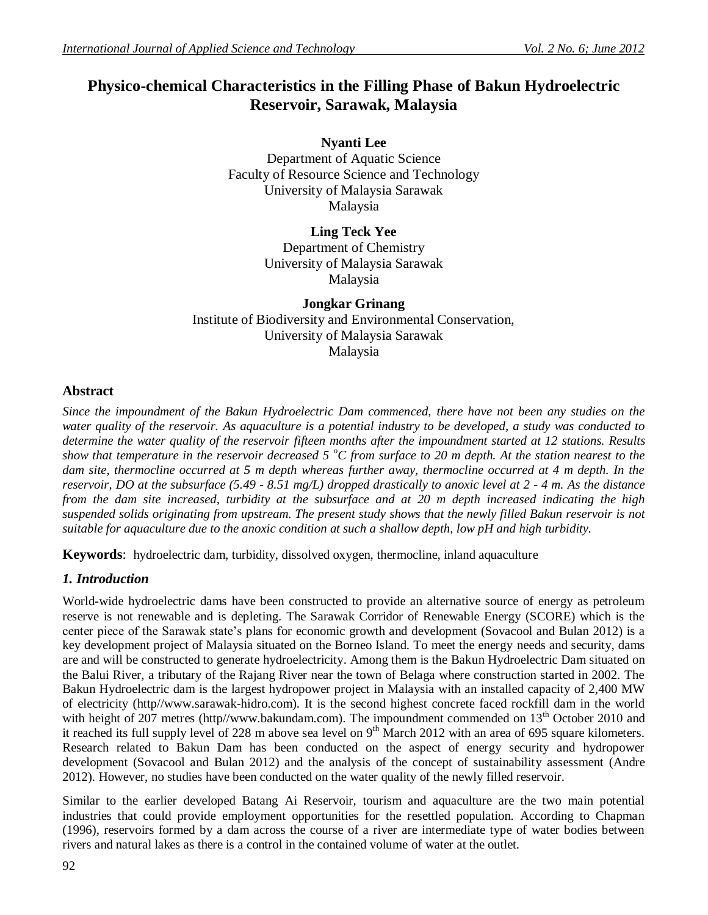# **Physico-chemical Characteristics in the Filling Phase of Bakun Hydroelectric Reservoir, Sarawak, Malaysia**

**Nyanti Lee** Department of Aquatic Science Faculty of Resource Science and Technology University of Malaysia Sarawak Malaysia

> **Ling Teck Yee** Department of Chemistry University of Malaysia Sarawak Malaysia

**Jongkar Grinang** Institute of Biodiversity and Environmental Conservation, University of Malaysia Sarawak Malaysia

## **Abstract**

*Since the impoundment of the Bakun Hydroelectric Dam commenced, there have not been any studies on the water quality of the reservoir. As aquaculture is a potential industry to be developed, a study was conducted to determine the water quality of the reservoir fifteen months after the impoundment started at 12 stations. Results show that temperature in the reservoir decreased 5 <sup>o</sup>C from surface to 20 m depth. At the station nearest to the dam site, thermocline occurred at 5 m depth whereas further away, thermocline occurred at 4 m depth. In the reservoir, DO at the subsurface (5.49 - 8.51 mg/L) dropped drastically to anoxic level at 2 - 4 m. As the distance from the dam site increased, turbidity at the subsurface and at 20 m depth increased indicating the high suspended solids originating from upstream. The present study shows that the newly filled Bakun reservoir is not suitable for aquaculture due to the anoxic condition at such a shallow depth, low pH and high turbidity.*

**Keywords**: hydroelectric dam, turbidity, dissolved oxygen, thermocline, inland aquaculture

# *1. Introduction*

World-wide hydroelectric dams have been constructed to provide an alternative source of energy as petroleum reserve is not renewable and is depleting. The Sarawak Corridor of Renewable Energy (SCORE) which is the center piece of the Sarawak state's plans for economic growth and development (Sovacool and Bulan 2012) is a key development project of Malaysia situated on the Borneo Island. To meet the energy needs and security, dams are and will be constructed to generate hydroelectricity. Among them is the Bakun Hydroelectric Dam situated on the Balui River, a tributary of the Rajang River near the town of Belaga where construction started in 2002. The Bakun Hydroelectric dam is the largest hydropower project in Malaysia with an installed capacity of 2,400 MW of electricity (http//www.sarawak-hidro.com). It is the second highest concrete faced rockfill dam in the world with height of 207 metres (http//www.bakundam.com). The impoundment commended on 13<sup>th</sup> October 2010 and it reached its full supply level of 228 m above sea level on  $9<sup>th</sup>$  March 2012 with an area of 695 square kilometers. Research related to Bakun Dam has been conducted on the aspect of energy security and hydropower development (Sovacool and Bulan 2012) and the analysis of the concept of sustainability assessment (Andre 2012). However, no studies have been conducted on the water quality of the newly filled reservoir.

Similar to the earlier developed Batang Ai Reservoir, tourism and aquaculture are the two main potential industries that could provide employment opportunities for the resettled population. According to Chapman (1996), reservoirs formed by a dam across the course of a river are intermediate type of water bodies between rivers and natural lakes as there is a control in the contained volume of water at the outlet.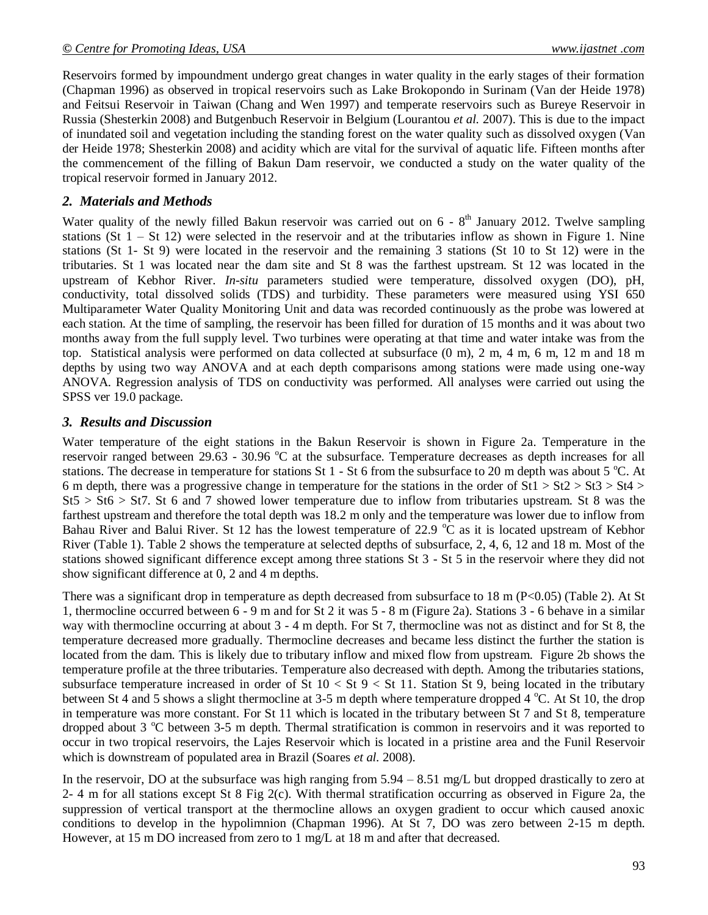Reservoirs formed by impoundment undergo great changes in water quality in the early stages of their formation (Chapman 1996) as observed in tropical reservoirs such as Lake Brokopondo in Surinam (Van der Heide 1978) and Feitsui Reservoir in Taiwan (Chang and Wen 1997) and temperate reservoirs such as Bureye Reservoir in Russia (Shesterkin 2008) and Butgenbuch Reservoir in Belgium (Lourantou *et al.* 2007). This is due to the impact of inundated soil and vegetation including the standing forest on the water quality such as dissolved oxygen (Van der Heide 1978; Shesterkin 2008) and acidity which are vital for the survival of aquatic life. Fifteen months after the commencement of the filling of Bakun Dam reservoir, we conducted a study on the water quality of the tropical reservoir formed in January 2012.

#### *2. Materials and Methods*

Water quality of the newly filled Bakun reservoir was carried out on  $6 - 8<sup>th</sup>$  January 2012. Twelve sampling stations (St  $1 -$  St 12) were selected in the reservoir and at the tributaries inflow as shown in Figure 1. Nine stations (St 1- St 9) were located in the reservoir and the remaining 3 stations (St 10 to St 12) were in the tributaries. St 1 was located near the dam site and St 8 was the farthest upstream. St 12 was located in the upstream of Kebhor River. *In-situ* parameters studied were temperature, dissolved oxygen (DO), pH, conductivity, total dissolved solids (TDS) and turbidity. These parameters were measured using YSI 650 Multiparameter Water Quality Monitoring Unit and data was recorded continuously as the probe was lowered at each station. At the time of sampling, the reservoir has been filled for duration of 15 months and it was about two months away from the full supply level. Two turbines were operating at that time and water intake was from the top. Statistical analysis were performed on data collected at subsurface (0 m), 2 m, 4 m, 6 m, 12 m and 18 m depths by using two way ANOVA and at each depth comparisons among stations were made using one-way ANOVA. Regression analysis of TDS on conductivity was performed. All analyses were carried out using the SPSS ver 19.0 package.

### *3. Results and Discussion*

Water temperature of the eight stations in the Bakun Reservoir is shown in Figure 2a. Temperature in the reservoir ranged between 29.63 - 30.96 °C at the subsurface. Temperature decreases as depth increases for all stations. The decrease in temperature for stations St 1 - St 6 from the subsurface to 20 m depth was about 5  $^{\circ}$ C. At 6 m depth, there was a progressive change in temperature for the stations in the order of  $St1 > St2 > St3 > St4 >$  $St5 > St6 > St7$ . St 6 and 7 showed lower temperature due to inflow from tributaries upstream. St 8 was the farthest upstream and therefore the total depth was 18.2 m only and the temperature was lower due to inflow from Bahau River and Balui River. St 12 has the lowest temperature of 22.9  $\degree$ C as it is located upstream of Kebhor River (Table 1). Table 2 shows the temperature at selected depths of subsurface, 2, 4, 6, 12 and 18 m. Most of the stations showed significant difference except among three stations St 3 - St 5 in the reservoir where they did not show significant difference at 0, 2 and 4 m depths.

There was a significant drop in temperature as depth decreased from subsurface to 18 m (P<0.05) (Table 2). At St 1, thermocline occurred between 6 - 9 m and for St 2 it was 5 - 8 m (Figure 2a). Stations 3 - 6 behave in a similar way with thermocline occurring at about 3 - 4 m depth. For St 7, thermocline was not as distinct and for St 8, the temperature decreased more gradually. Thermocline decreases and became less distinct the further the station is located from the dam. This is likely due to tributary inflow and mixed flow from upstream. Figure 2b shows the temperature profile at the three tributaries. Temperature also decreased with depth. Among the tributaries stations, subsurface temperature increased in order of St  $10 <$  St  $9 <$  St 11. Station St 9, being located in the tributary between St 4 and 5 shows a slight thermocline at 3-5 m depth where temperature dropped 4  $^{\circ}$ C. At St 10, the drop in temperature was more constant. For St 11 which is located in the tributary between St 7 and St 8, temperature dropped about 3  $\degree$ C between 3-5 m depth. Thermal stratification is common in reservoirs and it was reported to occur in two tropical reservoirs, the Lajes Reservoir which is located in a pristine area and the Funil Reservoir which is downstream of populated area in Brazil (Soares *et al.* 2008).

In the reservoir, DO at the subsurface was high ranging from  $5.94 - 8.51$  mg/L but dropped drastically to zero at 2- 4 m for all stations except St 8 Fig 2(c). With thermal stratification occurring as observed in Figure 2a, the suppression of vertical transport at the thermocline allows an oxygen gradient to occur which caused anoxic conditions to develop in the hypolimnion (Chapman 1996). At St 7, DO was zero between 2-15 m depth. However, at 15 m DO increased from zero to 1 mg/L at 18 m and after that decreased.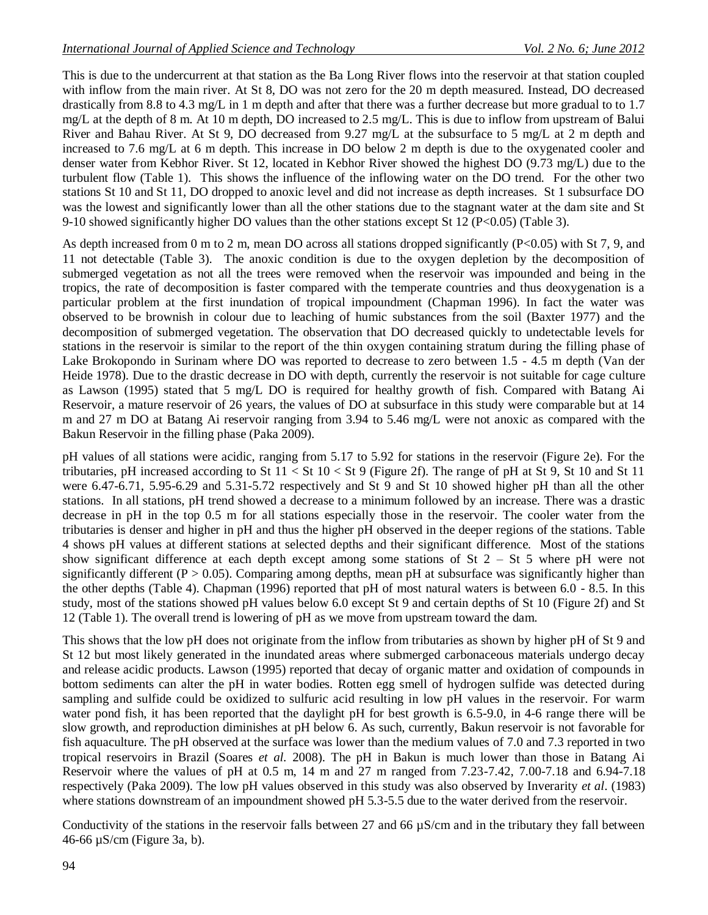This is due to the undercurrent at that station as the Ba Long River flows into the reservoir at that station coupled with inflow from the main river. At St 8, DO was not zero for the 20 m depth measured. Instead, DO decreased drastically from 8.8 to 4.3 mg/L in 1 m depth and after that there was a further decrease but more gradual to to 1.7 mg/L at the depth of 8 m. At 10 m depth, DO increased to 2.5 mg/L. This is due to inflow from upstream of Balui River and Bahau River. At St 9, DO decreased from 9.27 mg/L at the subsurface to 5 mg/L at 2 m depth and increased to 7.6 mg/L at 6 m depth. This increase in DO below 2 m depth is due to the oxygenated cooler and denser water from Kebhor River. St 12, located in Kebhor River showed the highest DO (9.73 mg/L) due to the turbulent flow (Table 1). This shows the influence of the inflowing water on the DO trend. For the other two stations St 10 and St 11, DO dropped to anoxic level and did not increase as depth increases. St 1 subsurface DO was the lowest and significantly lower than all the other stations due to the stagnant water at the dam site and St 9-10 showed significantly higher DO values than the other stations except St 12 (P<0.05) (Table 3).

As depth increased from 0 m to 2 m, mean DO across all stations dropped significantly (P<0.05) with St 7, 9, and 11 not detectable (Table 3). The anoxic condition is due to the oxygen depletion by the decomposition of submerged vegetation as not all the trees were removed when the reservoir was impounded and being in the tropics, the rate of decomposition is faster compared with the temperate countries and thus deoxygenation is a particular problem at the first inundation of tropical impoundment (Chapman 1996). In fact the water was observed to be brownish in colour due to leaching of humic substances from the soil (Baxter 1977) and the decomposition of submerged vegetation. The observation that DO decreased quickly to undetectable levels for stations in the reservoir is similar to the report of the thin oxygen containing stratum during the filling phase of Lake Brokopondo in Surinam where DO was reported to decrease to zero between 1.5 - 4.5 m depth (Van der Heide 1978). Due to the drastic decrease in DO with depth, currently the reservoir is not suitable for cage culture as Lawson (1995) stated that 5 mg/L DO is required for healthy growth of fish. Compared with Batang Ai Reservoir, a mature reservoir of 26 years, the values of DO at subsurface in this study were comparable but at 14 m and 27 m DO at Batang Ai reservoir ranging from 3.94 to 5.46 mg/L were not anoxic as compared with the Bakun Reservoir in the filling phase (Paka 2009).

pH values of all stations were acidic, ranging from 5.17 to 5.92 for stations in the reservoir (Figure 2e). For the tributaries, pH increased according to St  $11 <$  St  $10 <$  St 9 (Figure 2f). The range of pH at St 9, St 10 and St 11 were 6.47-6.71, 5.95-6.29 and 5.31-5.72 respectively and St 9 and St 10 showed higher pH than all the other stations. In all stations, pH trend showed a decrease to a minimum followed by an increase. There was a drastic decrease in pH in the top 0.5 m for all stations especially those in the reservoir. The cooler water from the tributaries is denser and higher in pH and thus the higher pH observed in the deeper regions of the stations. Table 4 shows pH values at different stations at selected depths and their significant difference. Most of the stations show significant difference at each depth except among some stations of St 2 – St 5 where pH were not significantly different ( $P > 0.05$ ). Comparing among depths, mean pH at subsurface was significantly higher than the other depths (Table 4). Chapman (1996) reported that pH of most natural waters is between 6.0 - 8.5. In this study, most of the stations showed pH values below 6.0 except St 9 and certain depths of St 10 (Figure 2f) and St 12 (Table 1). The overall trend is lowering of pH as we move from upstream toward the dam.

This shows that the low pH does not originate from the inflow from tributaries as shown by higher pH of St 9 and St 12 but most likely generated in the inundated areas where submerged carbonaceous materials undergo decay and release acidic products. Lawson (1995) reported that decay of organic matter and oxidation of compounds in bottom sediments can alter the pH in water bodies. Rotten egg smell of hydrogen sulfide was detected during sampling and sulfide could be oxidized to sulfuric acid resulting in low pH values in the reservoir. For warm water pond fish, it has been reported that the daylight pH for best growth is 6.5-9.0, in 4-6 range there will be slow growth, and reproduction diminishes at pH below 6. As such, currently, Bakun reservoir is not favorable for fish aquaculture. The pH observed at the surface was lower than the medium values of 7.0 and 7.3 reported in two tropical reservoirs in Brazil (Soares *et al.* 2008). The pH in Bakun is much lower than those in Batang Ai Reservoir where the values of pH at 0.5 m, 14 m and 27 m ranged from 7.23-7.42, 7.00-7.18 and 6.94-7.18 respectively (Paka 2009). The low pH values observed in this study was also observed by Inverarity *et al*. (1983) where stations downstream of an impoundment showed pH 5.3-5.5 due to the water derived from the reservoir.

Conductivity of the stations in the reservoir falls between 27 and 66  $\mu$ S/cm and in the tributary they fall between 46-66 µS/cm (Figure 3a, b).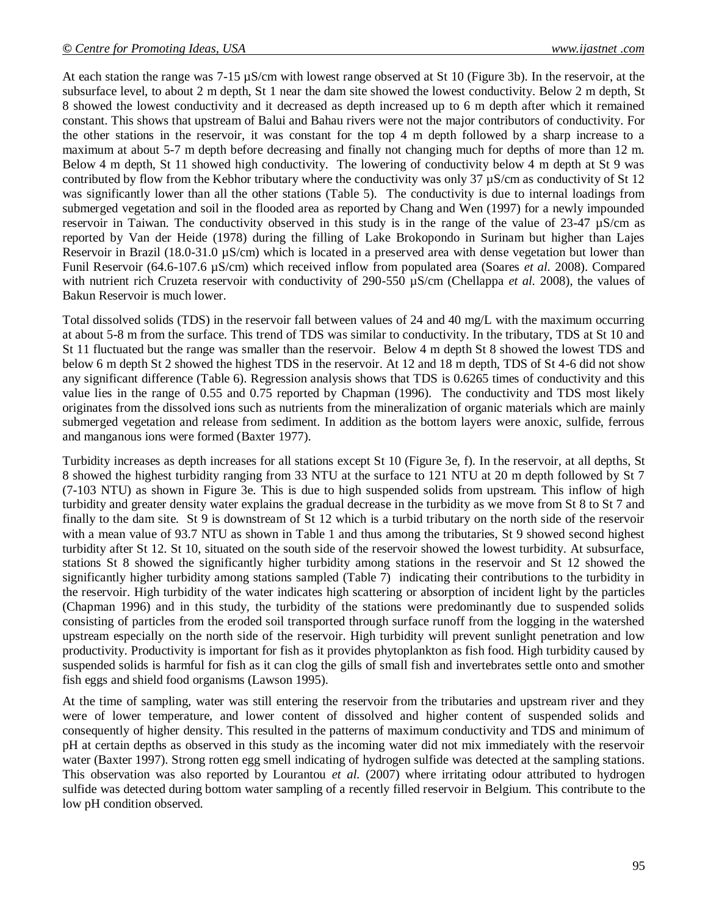At each station the range was 7-15 µS/cm with lowest range observed at St 10 (Figure 3b). In the reservoir, at the subsurface level, to about 2 m depth, St 1 near the dam site showed the lowest conductivity. Below 2 m depth, St 8 showed the lowest conductivity and it decreased as depth increased up to 6 m depth after which it remained constant. This shows that upstream of Balui and Bahau rivers were not the major contributors of conductivity. For the other stations in the reservoir, it was constant for the top 4 m depth followed by a sharp increase to a maximum at about 5-7 m depth before decreasing and finally not changing much for depths of more than 12 m. Below 4 m depth, St 11 showed high conductivity. The lowering of conductivity below 4 m depth at St 9 was contributed by flow from the Kebhor tributary where the conductivity was only 37 µS/cm as conductivity of St 12 was significantly lower than all the other stations (Table 5). The conductivity is due to internal loadings from submerged vegetation and soil in the flooded area as reported by Chang and Wen (1997) for a newly impounded reservoir in Taiwan. The conductivity observed in this study is in the range of the value of 23-47 µS/cm as reported by Van der Heide (1978) during the filling of Lake Brokopondo in Surinam but higher than Lajes Reservoir in Brazil (18.0-31.0  $\mu$ S/cm) which is located in a preserved area with dense vegetation but lower than Funil Reservoir (64.6-107.6 µS/cm) which received inflow from populated area (Soares *et al.* 2008). Compared with nutrient rich Cruzeta reservoir with conductivity of 290-550  $\mu$ S/cm (Chellappa *et al.* 2008), the values of Bakun Reservoir is much lower.

Total dissolved solids (TDS) in the reservoir fall between values of 24 and 40 mg/L with the maximum occurring at about 5-8 m from the surface. This trend of TDS was similar to conductivity. In the tributary, TDS at St 10 and St 11 fluctuated but the range was smaller than the reservoir. Below 4 m depth St 8 showed the lowest TDS and below 6 m depth St 2 showed the highest TDS in the reservoir. At 12 and 18 m depth, TDS of St 4-6 did not show any significant difference (Table 6). Regression analysis shows that TDS is 0.6265 times of conductivity and this value lies in the range of 0.55 and 0.75 reported by Chapman (1996). The conductivity and TDS most likely originates from the dissolved ions such as nutrients from the mineralization of organic materials which are mainly submerged vegetation and release from sediment. In addition as the bottom layers were anoxic, sulfide, ferrous and manganous ions were formed (Baxter 1977).

Turbidity increases as depth increases for all stations except St 10 (Figure 3e, f). In the reservoir, at all depths, St 8 showed the highest turbidity ranging from 33 NTU at the surface to 121 NTU at 20 m depth followed by St 7 (7-103 NTU) as shown in Figure 3e. This is due to high suspended solids from upstream. This inflow of high turbidity and greater density water explains the gradual decrease in the turbidity as we move from St 8 to St 7 and finally to the dam site. St 9 is downstream of St 12 which is a turbid tributary on the north side of the reservoir with a mean value of 93.7 NTU as shown in Table 1 and thus among the tributaries, St 9 showed second highest turbidity after St 12. St 10, situated on the south side of the reservoir showed the lowest turbidity. At subsurface, stations St 8 showed the significantly higher turbidity among stations in the reservoir and St 12 showed the significantly higher turbidity among stations sampled (Table 7) indicating their contributions to the turbidity in the reservoir. High turbidity of the water indicates high scattering or absorption of incident light by the particles (Chapman 1996) and in this study, the turbidity of the stations were predominantly due to suspended solids consisting of particles from the eroded soil transported through surface runoff from the logging in the watershed upstream especially on the north side of the reservoir. High turbidity will prevent sunlight penetration and low productivity. Productivity is important for fish as it provides phytoplankton as fish food. High turbidity caused by suspended solids is harmful for fish as it can clog the gills of small fish and invertebrates settle onto and smother fish eggs and shield food organisms (Lawson 1995).

At the time of sampling, water was still entering the reservoir from the tributaries and upstream river and they were of lower temperature, and lower content of dissolved and higher content of suspended solids and consequently of higher density. This resulted in the patterns of maximum conductivity and TDS and minimum of pH at certain depths as observed in this study as the incoming water did not mix immediately with the reservoir water (Baxter 1997). Strong rotten egg smell indicating of hydrogen sulfide was detected at the sampling stations. This observation was also reported by Lourantou *et al.* (2007) where irritating odour attributed to hydrogen sulfide was detected during bottom water sampling of a recently filled reservoir in Belgium. This contribute to the low pH condition observed.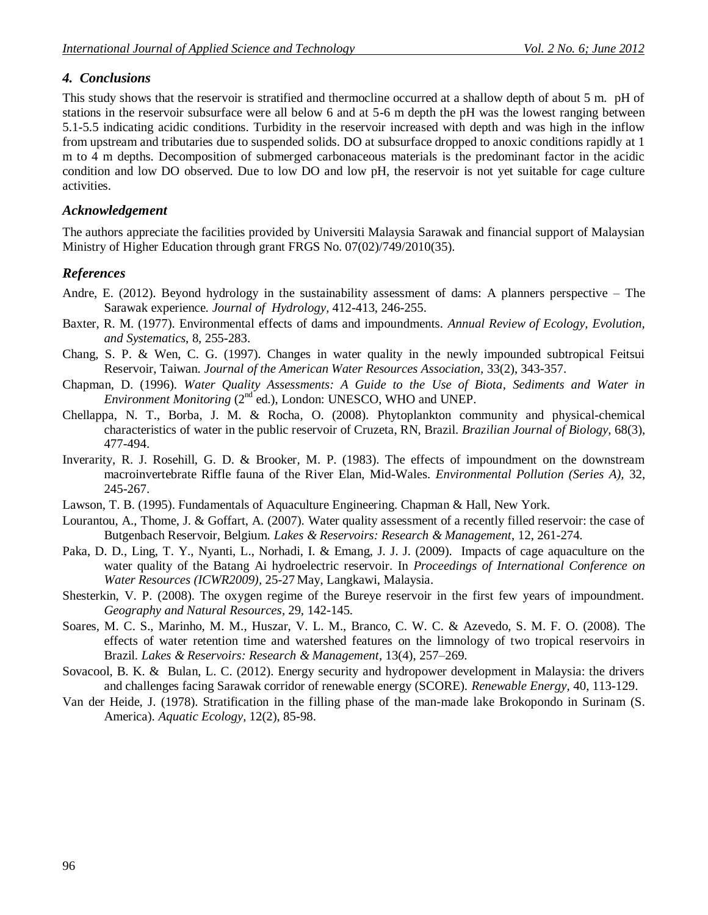### *4. Conclusions*

This study shows that the reservoir is stratified and thermocline occurred at a shallow depth of about 5 m. pH of stations in the reservoir subsurface were all below 6 and at 5-6 m depth the pH was the lowest ranging between 5.1-5.5 indicating acidic conditions. Turbidity in the reservoir increased with depth and was high in the inflow from upstream and tributaries due to suspended solids. DO at subsurface dropped to anoxic conditions rapidly at 1 m to 4 m depths. Decomposition of submerged carbonaceous materials is the predominant factor in the acidic condition and low DO observed. Due to low DO and low pH, the reservoir is not yet suitable for cage culture activities.

#### *Acknowledgement*

The authors appreciate the facilities provided by Universiti Malaysia Sarawak and financial support of Malaysian Ministry of Higher Education through grant FRGS No. 07(02)/749/2010(35).

### *References*

- Andre, E. (2012). Beyond hydrology in the sustainability assessment of dams: A planners perspective The Sarawak experience. *Journal of Hydrology*, 412-413, 246-255.
- Baxter, R. M. (1977). Environmental effects of dams and impoundments. *Annual Review of Ecology, Evolution, and Systematics*, 8, 255-283.
- Chang, S. P. & Wen, C. G. (1997). Changes in water quality in the newly impounded subtropical Feitsui Reservoir, Taiwan. *Journal of the American Water Resources Association,* 33(2), 343-357.
- Chapman, D. (1996). *Water Quality Assessments: A Guide to the Use of Biota, Sediments and Water in Environment Monitoring* (2<sup>nd</sup> ed.), London: UNESCO, WHO and UNEP.
- Chellappa, N. T., Borba, J. M. & Rocha, O. (2008). Phytoplankton community and physical-chemical characteristics of water in the public reservoir of Cruzeta, RN, Brazil. *Brazilian Journal of Biology,* 68(3), 477-494.
- Inverarity, R. J. Rosehill, G. D. & Brooker, M. P. (1983). The effects of impoundment on the downstream macroinvertebrate Riffle fauna of the River Elan, Mid-Wales. *Environmental Pollution (Series A),* 32, 245-267.
- Lawson, T. B. (1995). Fundamentals of Aquaculture Engineering. Chapman & Hall, New York.
- Lourantou, A., Thome, J. & Goffart, A. (2007). Water quality assessment of a recently filled reservoir: the case of Butgenbach Reservoir, Belgium. *Lakes & Reservoirs: Research & Management*, 12, 261-274.
- Paka, D. D., Ling, T. Y., Nyanti, L., Norhadi, I. & Emang, J. J. J. (2009). Impacts of cage aquaculture on the water quality of the Batang Ai hydroelectric reservoir. In *Proceedings of International Conference on Water Resources (ICWR2009),* 25-27 May, Langkawi, Malaysia.
- Shesterkin, V. P. (2008). The oxygen regime of the Bureye reservoir in the first few years of impoundment. *Geography and Natural Resources*, 29, 142-145.
- Soares*,* M. C. S., Marinho, M. M., Huszar, V. L. M., Branco, C. W. C. & Azevedo, S. M. F. O. (2008). The effects of water retention time and watershed features on the limnology of two tropical reservoirs in Brazil. *Lakes & Reservoirs: Research & Management*, 13(4), 257–269.
- Sovacool, B. K. & Bulan, L. C. (2012). Energy security and hydropower development in Malaysia: the drivers and challenges facing Sarawak corridor of renewable energy (SCORE). *Renewable Energy*, 40, 113-129.
- Van der Heide, J. (1978). Stratification in the filling phase of the man-made lake Brokopondo in Surinam (S. America). *Aquatic Ecology*, 12(2), 85-98.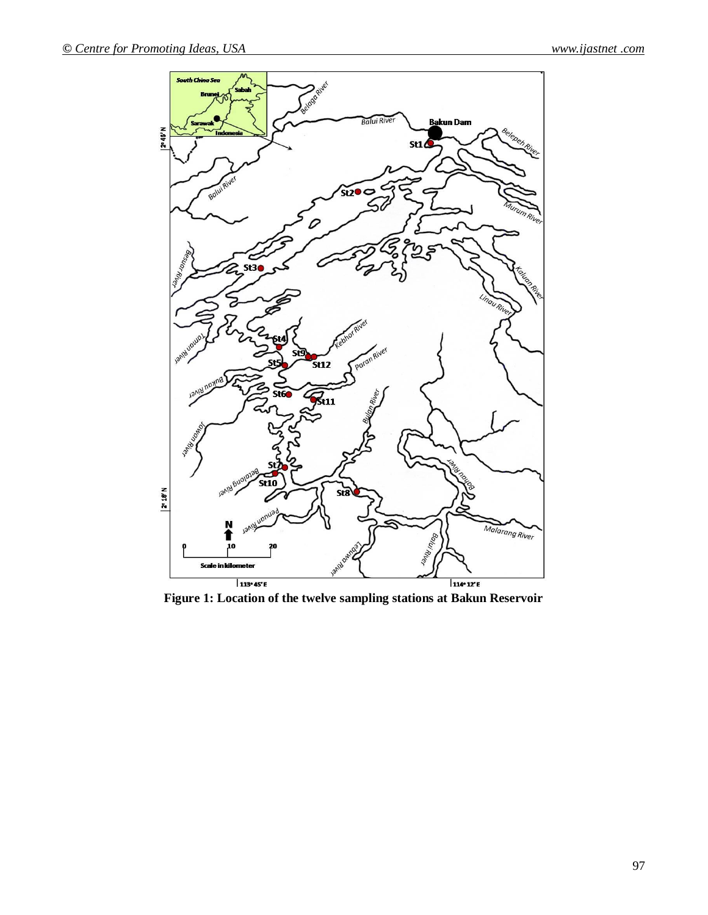

**Figure 1: Location of the twelve sampling stations at Bakun Reservoir**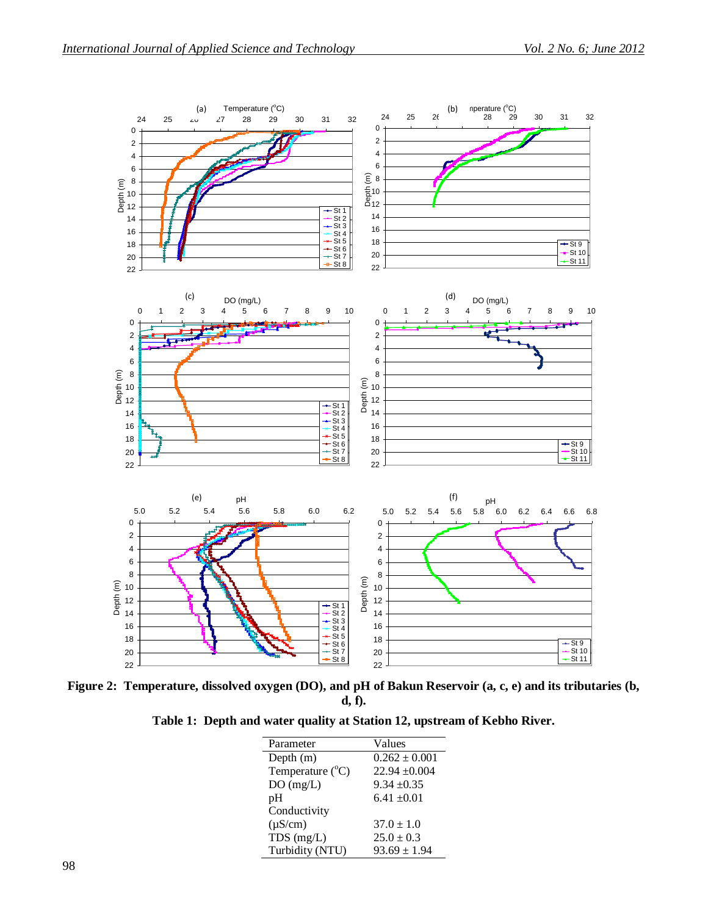

**Figure 2: Temperature, dissolved oxygen (DO), and pH of Bakun Reservoir (a, c, e) and its tributaries (b, d, f).**

|  |  |  |  |  | Table 1: Depth and water quality at Station 12, upstream of Kebho River. |
|--|--|--|--|--|--------------------------------------------------------------------------|
|--|--|--|--|--|--------------------------------------------------------------------------|

| Parameter                 | Values            |
|---------------------------|-------------------|
| Depth $(m)$               | $0.262 \pm 0.001$ |
| Temperature $(^{\circ}C)$ | $22.94 \pm 0.004$ |
| DO(mg/L)                  | $9.34 \pm 0.35$   |
| pH                        | $6.41 \pm 0.01$   |
| Conductivity              |                   |
| $(\mu S/cm)$              | $37.0 \pm 1.0$    |
| $TDS$ (mg/L)              | $25.0 \pm 0.3$    |
| Turbidity (NTU)           | $93.69 \pm 1.94$  |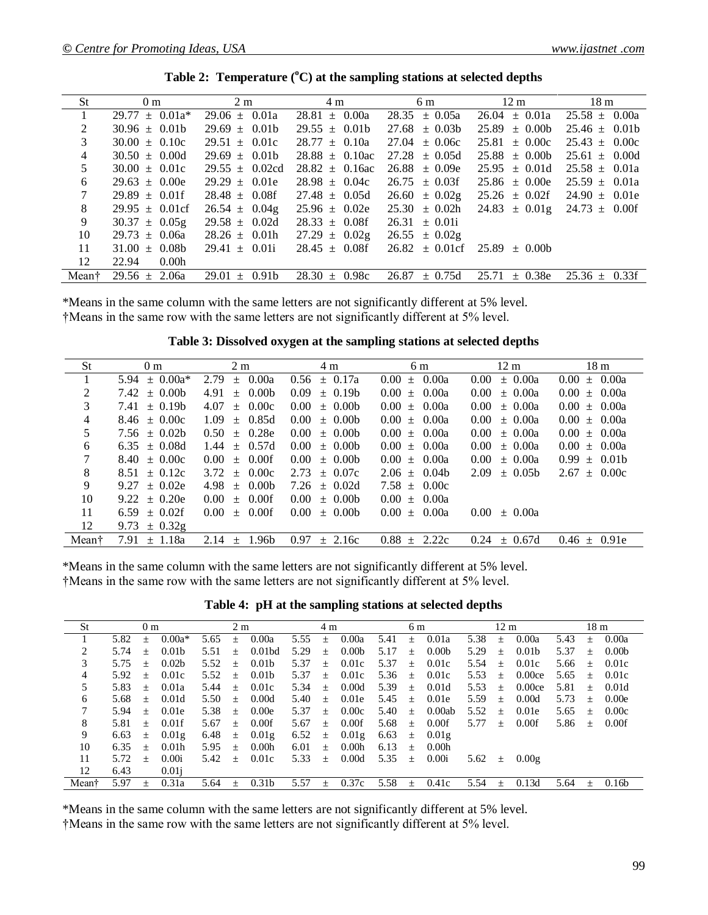| St             | 0 <sub>m</sub>             | $2 \text{ m}$      | 4 m                 | 6 m                                                  | $12 \text{ m}$                       | 18 <sub>m</sub>    |
|----------------|----------------------------|--------------------|---------------------|------------------------------------------------------|--------------------------------------|--------------------|
| 1              | $29.77 \pm 0.01a^*$        | $29.06 \pm 0.01a$  | $28.81 \pm 0.00a$   | $28.35 \pm 0.05a$                                    | $26.04 \pm 0.01a$                    | $25.58 \pm 0.00a$  |
| 2              | $30.96 \pm 0.01b$          | $29.69 \pm 0.01b$  | $29.55 \pm 0.01b$   | $27.68 \pm 0.03b$                                    | $25.89 \pm 0.00b$                    | $25.46 \pm 0.01b$  |
| 3              | $30.00 \pm 0.10c$          | $29.51 \pm 0.01c$  | $28.77 \pm 0.10a$   | $27.04 \pm 0.06c$                                    | $25.81 \pm 0.00c$                    | $25.43 \pm 0.00c$  |
| $\overline{4}$ | $30.50 \pm 0.00d$          | $29.69 \pm 0.01b$  | $28.88 \pm 0.10$ ac | $27.28 \pm 0.05d$                                    | $25.88 \pm 0.00b$                    | $25.61 \pm 0.00d$  |
| 5              | $30.00 \pm 0.01c$          | $29.55 \pm 0.02cd$ | $28.82 \pm 0.16$ ac | $26.88 \pm 0.09e$                                    | $25.95 \pm 0.01d$                    | $25.58 \pm 0.01a$  |
| 6              | $29.63 \pm 0.00e$          | $29.29 \pm 0.01e$  | $28.98 \pm 0.04c$   | $26.75 \pm 0.03$ f                                   | $25.86 \pm 0.00e$                    | $25.59 \pm 0.01a$  |
| $\tau$         | $29.89 \pm 0.01$ f         | $28.48 \pm 0.08$ f | $27.48 \pm 0.05d$   | $26.60 \pm 0.02g$                                    | $25.26 \pm 0.02$ f                   | $24.90 \pm 0.01e$  |
| 8              | $29.95 \pm 0.01 \text{cf}$ | $26.54 \pm 0.04g$  | $25.96 \pm 0.02e$   | $25.30 \pm 0.02h$                                    | $24.83 \pm 0.01$ g 24.73 $\pm$ 0.00f |                    |
| 9              | $30.37 \pm 0.05g$          | $29.58 \pm 0.02d$  | $28.33 \pm 0.08$ f  | $26.31 \pm 0.01i$                                    |                                      |                    |
| 10             | $29.73 \pm 0.06a$          | $28.26 \pm 0.01h$  | $27.29 \pm 0.02g$   | $26.55 \pm 0.02g$                                    |                                      |                    |
| 11             | $31.00 \pm 0.08b$          | $29.41 \pm 0.01i$  | $28.45 \pm 0.08$ f  | $26.82 \pm 0.01 \text{cf}$ $25.89 \pm 0.00 \text{b}$ |                                      |                    |
| 12             | 22.94<br>0.00h             |                    |                     |                                                      |                                      |                    |
| Meant          | $29.56 \pm 2.06a$          | $29.01 \pm 0.91b$  | $28.30 \pm 0.98c$   | $26.87 \pm 0.75d$                                    | 25.71<br>$\pm$ 0.38e                 | $25.36 \pm 0.33$ f |

**Table 2: Temperature (<sup>o</sup>C) at the sampling stations at selected depths**

\*Means in the same column with the same letters are not significantly different at 5% level. †Means in the same row with the same letters are not significantly different at 5% level.

**Table 3: Dissolved oxygen at the sampling stations at selected depths**

| <b>St</b> | 0 <sub>m</sub>        | 2 <sub>m</sub>                  | 4 m                           | 6 m                              | 12 <sub>m</sub>               | 18 <sub>m</sub>     |
|-----------|-----------------------|---------------------------------|-------------------------------|----------------------------------|-------------------------------|---------------------|
|           | $\pm 0.00a^*$<br>5.94 | $\pm$ 0.00a<br>2.79             | $\pm 0.17a$<br>0.56           | $\pm$ 0.00a<br>0.00 <sub>1</sub> | $\pm$ 0.00a<br>$0.00 -$       | $0.00 \pm 0.00a$    |
| 2         | 7.42<br>$+ 0.00b$     | 4.91<br>$\pm 0.00$              | 0.09<br>$\pm$ 0.19b           | $0.00 \pm 0.00a$                 | $0.00 -$<br>$\pm$ 0.00a       | $0.00 \pm 0.00a$    |
| 3         | $\pm 0.19b$<br>7.41   | $\pm$ 0.00 $\mathrm{c}$<br>4.07 | $0.00^{\circ}$<br>$\pm 0.00$  | $0.00 \pm 0.00a$                 | $\pm$ 0.00a<br>$0.00 -$       | $0.00 \pm 0.00a$    |
| 4         | $8.46 \pm 0.00c$      | 1.09<br>$\pm$ 0.85d             | $0.00^{\circ}$<br>$\pm 0.00$  | $0.00 \pm 0.00a$                 | $0.00 -$<br>$\pm$ 0.00a       | $0.00 \pm 0.00a$    |
| 5         | $7.56 \pm 0.02b$      | 0.50<br>$\pm 0.28e$             | $0.00^{\circ}$<br>$\pm$ 0.00b | $0.00 \pm 0.00a$                 | $0.00 -$<br>$\pm 0.00a$       | $0.00 \pm 0.00a$    |
| 6         | $\pm$ 0.08d<br>6.35   | $\pm$ 0.57d<br>1.44             | $0.00^{\circ}$<br>$\pm 0.00$  | $0.00 \pm 0.00a$                 | $0.00^{\circ}$<br>$\pm$ 0.00a | $0.00 \pm 0.00a$    |
| 7         | $\pm 0.00c$<br>8.40   | $0.00^{\circ}$<br>$\pm$ 0.00f   | $0.00^{\circ}$<br>$\pm 0.00$  | $0.00 \pm 0.00a$                 | $0.00 -$<br>$\pm 0.00a$       | $0.99 \pm 0.01b$    |
| 8         | $\pm 0.12c$<br>8.51   | 3.72<br>$\pm 0.00c$             | 2.73<br>$\pm 0.07c$           | $2.06 \pm 0.04$                  | 2.09<br>$\pm 0.05b$           | $2.67 \pm 0.00c$    |
| 9         | 9.27<br>$\pm 0.02e$   | 4.98<br>$\pm$ 0.00b             | 7.26<br>$\pm 0.02d$           | $7.58 \pm 0.00c$                 |                               |                     |
| 10        | $\pm 0.20e$<br>9.22   | $\pm$ 0.00f<br>$0.00^{\circ}$   | $\pm$ 0.00b<br>$0.00^{\circ}$ | $0.00 \pm 0.00a$                 |                               |                     |
| 11        | $\pm$ 0.02f<br>6.59   | $0.00^{\circ}$<br>0.00f<br>$+$  | $\pm 0.00$<br>$0.00 -$        | 0.00a<br>$0.00 \pm 1$            | $0.00\,$<br>$\pm 0.00a$       |                     |
| 12        | $\pm$ 0.32g<br>9.73   |                                 |                               |                                  |                               |                     |
| Mean†     | 1.18a<br>7.91<br>$+$  | 2.14<br>.96b<br>$^{+}$          | 0.97<br>2.16c<br>$+$          | 0.88<br>2.22c<br>$^{+}$          | 0.24<br>$\pm$ 0.67d           | $0.46 \pm$<br>0.91e |

\*Means in the same column with the same letters are not significantly different at 5% level. †Means in the same row with the same letters are not significantly different at 5% level.

**Table 4: pH at the sampling stations at selected depths**

| St    |      | 0 <sub>m</sub> |                   |      | 2 <sub>m</sub> |                    |      | 4 m    |                   |      | 6 m    |                   |      | $12 \text{ m}$  |                   |      | 18 <sub>m</sub> |                   |
|-------|------|----------------|-------------------|------|----------------|--------------------|------|--------|-------------------|------|--------|-------------------|------|-----------------|-------------------|------|-----------------|-------------------|
|       | 5.82 | $^{+}$         | $0.00a*$          | 5.65 | $+$            | 0.00a              | 5.55 | $^{+}$ | 0.00a             | 5.41 | $+$    | 0.01a             | 5.38 | $^{+}$          | 0.00a             | 5.43 | $^{+}$          | 0.00a             |
| 2     | 5.74 | $^{+}$         | 0.01 <sub>b</sub> | 5.51 | $+$            | 0.01 <sub>bd</sub> | 5.29 | $+$    | 0.00 <sub>b</sub> | 5.17 | $+$    | 0.00 <sub>b</sub> | 5.29 | $\! + \!\!\!\!$ | 0.01 <sub>b</sub> | 5.37 | $+$             | 0.00 <sub>b</sub> |
| 3     | 5.75 | $+$            | 0.02 <sub>b</sub> | 5.52 | $+$            | 0.01 <sub>b</sub>  | 5.37 | $+$    | 0.01c             | 5.37 | $+$    | 0.01c             | 5.54 | $+$             | 0.01c             | 5.66 | $+$             | 0.01c             |
| 4     | 5.92 | $+$            | 0.01c             | 5.52 | $+$            | 0.01 <sub>b</sub>  | 5.37 | $+$    | 0.01c             | 5.36 | $+$    | 0.01c             | 5.53 | $+$             | 0.00ce            | 5.65 | $+$             | 0.01c             |
| 5     | 5.83 | $+$            | 0.01a             | 5.44 | $+$            | 0.01c              | 5.34 | $+$    | 0.00d             | 5.39 | $+$    | 0.01d             | 5.53 | $+$             | 0.00ce            | 5.81 | $+$             | 0.01d             |
| 6     | 5.68 | $+$            | 0.01d             | 5.50 | $+$            | 0.00d              | 5.40 | $+$    | 0.01e             | 5.45 | $+$    | 0.01e             | 5.59 | $^{+}$          | 0.00d             | 5.73 | $+$             | 0.00e             |
| 7     | 5.94 | $^{+}$         | 0.01e             | 5.38 | $+$            | 0.00e              | 5.37 | $+$    | 0.00c             | 5.40 | $+$    | 0.00ab            | 5.52 | $^{+}$          | 0.01e             | 5.65 | $+$             | 0.00c             |
| 8     | 5.81 | $+$            | $0.01$ f          | 5.67 | $+$            | 0.00f              | 5.67 | $+$    | 0.00f             | 5.68 | $\pm$  | 0.00f             | 5.77 | $+$             | 0.00f             | 5.86 | $\pm$           | 0.00f             |
| 9     | 6.63 | 土              | 0.01g             | 6.48 | 土              | 0.01 <sub>g</sub>  | 6.52 | 士      | 0.01 <sub>g</sub> | 6.63 | $\pm$  | 0.01g             |      |                 |                   |      |                 |                   |
| 10    | 6.35 | $+$            | 0.01 <sub>h</sub> | 5.95 | $+$            | 0.00 <sub>h</sub>  | 6.01 | $+$    | 0.00 <sub>h</sub> | 6.13 | $+$    | 0.00 <sub>h</sub> |      |                 |                   |      |                 |                   |
| 11    | 5.72 | $+$            | 0.00i             | 5.42 | $+$            | 0.01c              | 5.33 | $+$    | 0.00d             | 5.35 | $\pm$  | 0.00i             | 5.62 | 士               | 0.00g             |      |                 |                   |
| 12    | 6.43 |                | $0.01$ i          |      |                |                    |      |        |                   |      |        |                   |      |                 |                   |      |                 |                   |
| Meant | 5.97 | $^{+}$         | 0.31a             | 5.64 | $^{+}$         | 0.31 <sub>b</sub>  | 5.57 | $^{+}$ | 0.37c             | 5.58 | $^{+}$ | 0.41c             | 5.54 | $^{+}$          | 0.13d             | 5.64 | $^{+}$          | 0.16 <sub>b</sub> |

\*Means in the same column with the same letters are not significantly different at 5% level.

†Means in the same row with the same letters are not significantly different at 5% level.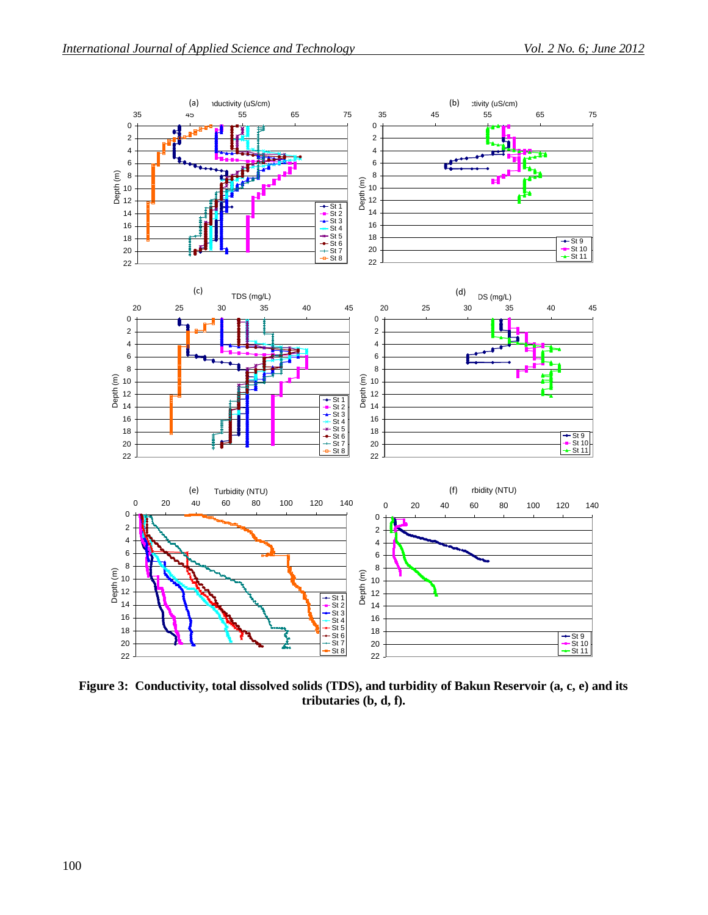

**Figure 3: Conductivity, total dissolved solids (TDS), and turbidity of Bakun Reservoir (a, c, e) and its tributaries (b, d, f).**